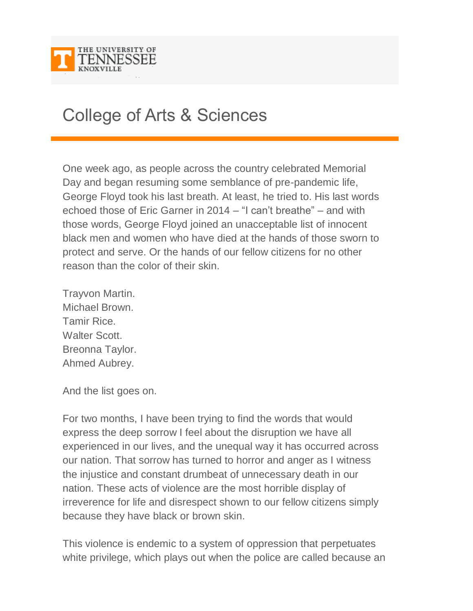

## College of Arts & Sciences

One week ago, as people across the country celebrated Memorial Day and began resuming some semblance of pre-pandemic life, George Floyd took his last breath. At least, he tried to. His last words echoed those of Eric Garner in 2014 – "I can't breathe" – and with those words, George Floyd joined an unacceptable list of innocent black men and women who have died at the hands of those sworn to protect and serve. Or the hands of our fellow citizens for no other reason than the color of their skin.

Trayvon Martin. Michael Brown. Tamir Rice. Walter Scott. Breonna Taylor. Ahmed Aubrey.

And the list goes on.

For two months, I have been trying to find the words that would express the deep sorrow I feel about the disruption we have all experienced in our lives, and the unequal way it has occurred across our nation. That sorrow has turned to horror and anger as I witness the injustice and constant drumbeat of unnecessary death in our nation. These acts of violence are the most horrible display of irreverence for life and disrespect shown to our fellow citizens simply because they have black or brown skin.

This violence is endemic to a system of oppression that perpetuates white privilege, which plays out when the police are called because an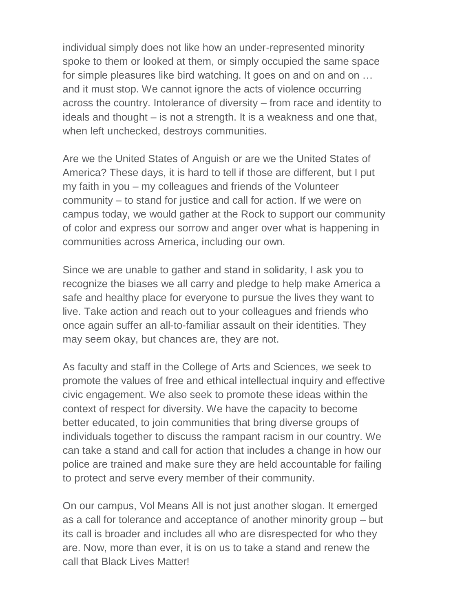individual simply does not like how an under-represented minority spoke to them or looked at them, or simply occupied the same space for simple pleasures like bird watching. It goes on and on and on … and it must stop. We cannot ignore the acts of violence occurring across the country. Intolerance of diversity – from race and identity to ideals and thought – is not a strength. It is a weakness and one that, when left unchecked, destroys communities.

Are we the United States of Anguish or are we the United States of America? These days, it is hard to tell if those are different, but I put my faith in you – my colleagues and friends of the Volunteer community – to stand for justice and call for action. If we were on campus today, we would gather at the Rock to support our community of color and express our sorrow and anger over what is happening in communities across America, including our own.

Since we are unable to gather and stand in solidarity, I ask you to recognize the biases we all carry and pledge to help make America a safe and healthy place for everyone to pursue the lives they want to live. Take action and reach out to your colleagues and friends who once again suffer an all-to-familiar assault on their identities. They may seem okay, but chances are, they are not.

As faculty and staff in the College of Arts and Sciences, we seek to promote the values of free and ethical intellectual inquiry and effective civic engagement. We also seek to promote these ideas within the context of respect for diversity. We have the capacity to become better educated, to join communities that bring diverse groups of individuals together to discuss the rampant racism in our country. We can take a stand and call for action that includes a change in how our police are trained and make sure they are held accountable for failing to protect and serve every member of their community.

On our campus, Vol Means All is not just another slogan. It emerged as a call for tolerance and acceptance of another minority group – but its call is broader and includes all who are disrespected for who they are. Now, more than ever, it is on us to take a stand and renew the call that Black Lives Matter!